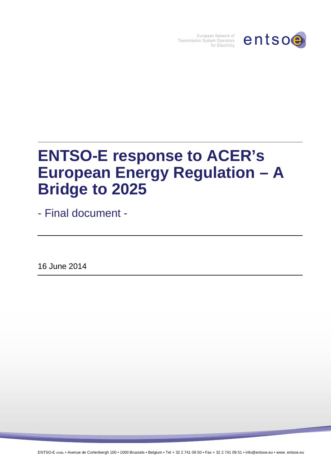

European Network of Transmission System Operators for Electricity

# **ENTSO-E response to ACER's European Energy Regulation – A Bridge to 2025**

- Final document -

16 June 2014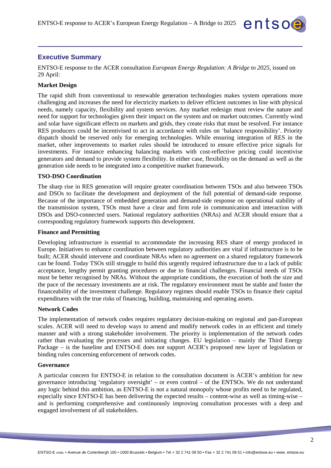

ENTSO-E response to the ACER consultation *European Energy Regulation: A Bridge to 2025*, issued on 29 April:

entsoe

#### **Market Design**

The rapid shift from conventional to renewable generation technologies makes system operations more challenging and increases the need for electricity markets to deliver efficient outcomes in line with physical needs, namely capacity, flexibility and system services. Any market redesign must review the nature and need for support for technologies given their impact on the system and on market outcomes. Currently wind and solar have significant effects on markets and grids, they create risks that must be resolved. For instance RES producers could be incentivised to act in accordance with rules on 'balance responsibility'. Priority dispatch should be reserved only for emerging technologies. While ensuring integration of RES in the market, other improvements to market rules should be introduced to ensure effective price signals for investments. For instance enhancing balancing markets with cost-reflective pricing could incentivise generators and demand to provide system flexibility. In either case, flexibility on the demand as well as the generation side needs to be integrated into a competitive market framework.

#### **TSO-DSO Coordination**

The sharp rise in RES generation will require greater coordination between TSOs and also between TSOs and DSOs to facilitate the development and deployment of the full potential of demand-side response. Because of the importance of embedded generation and demand-side response on operational stability of the transmission system, TSOs must have a clear and firm role in communication and interaction with DSOs and DSO-connected users. National regulatory authorities (NRAs) and ACER should ensure that a corresponding regulatory framework supports this development.

## **Finance and Permitting**

Developing infrastructure is essential to accommodate the increasing RES share of energy produced in Europe. Initiatives to enhance coordination between regulatory authorities are vital if infrastructure is to be built; ACER should intervene and coordinate NRAs when no agreement on a shared regulatory framework can be found. Today TSOs still struggle to build this urgently required infrastructure due to a lack of public acceptance, lengthy permit granting procedures or due to financial challenges. Financial needs of TSOs must be better recognised by NRAs. Without the appropriate conditions, the execution of both the size and the pace of the necessary investments are at risk. The regulatory environment must be stable and foster the financeability of the investment challenge. Regulatory regimes should enable TSOs to finance their capital expenditures with the true risks of financing, building, maintaining and operating assets.

#### **Network Codes**

The implementation of network codes requires regulatory decision-making on regional and pan-European scales. ACER will need to develop ways to amend and modify network codes in an efficient and timely manner and with a strong stakeholder involvement. The priority is implementation of the network codes rather than evaluating the processes and initiating changes. EU legislation – mainly the Third Energy Package – is the baseline and ENTSO-E does not support ACER's proposed new layer of legislation or binding rules concerning enforcement of network codes.

#### **Governance**

A particular concern for ENTSO-E in relation to the consultation document is ACER's ambition for new governance introducing 'regulatory oversight' – or even control – of the ENTSOs. We do not understand any logic behind this ambition, as ENTSO-E is not a natural monopoly whose profits need to be regulated, especially since ENTSO-E has been delivering the expected results – content-wise as well as timing-wise – and is performing comprehensive and continuously improving consultation processes with a deep and engaged involvement of all stakeholders.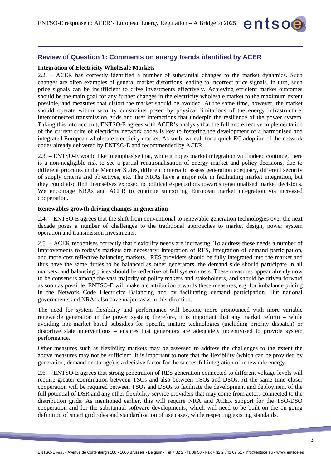

#### **Integration of Electricity Wholesale Markets**

2.2. – ACER has correctly identified a number of substantial changes to the market dynamics. Such changes are often examples of general market distortions leading to incorrect price signals. In turn, such price signals can be insufficient to drive investments effectively. Achieving efficient market outcomes should be the main goal for any further changes in the electricity wholesale market to the maximum extent possible, and measures that distort the market should be avoided. At the same time, however, the market should operate within security constraints posed by physical limitations of the energy infrastructure, interconnected transmission grids and user interactions that underpin the resilience of the power system. Taking this into account, ENTSO-E agrees with ACER's analysis that the full and effective implementation of the current suite of electricity network codes is key to fostering the development of a harmonised and integrated European wholesale electricity market. As such, we call for a quick EC adoption of the network codes already delivered by ENTSO-E and recommended by ACER.

entsoe

2.3. – ENTSO-E would like to emphasise that, while it hopes market integration will indeed continue, there is a non-negligible risk to see a partial renationalisation of energy market and policy decisions, due to different priorities in the Member States, different criteria to assess generation adequacy, different security of supply criteria and objectives, etc. The NRAs have a major role in facilitating market integration, but they could also find themselves exposed to political expectations towards renationalised market decisions. We encourage NRAs and ACER to continue supporting European market integration via increased cooperation.

#### **Renewables growth driving changes in generation**

2.4. – ENTSO-E agrees that the shift from conventional to renewable generation technologies over the next decade poses a number of challenges to the traditional approaches to market design, power system operation and transmission investments.

2.5. – ACER recognises correctly that flexibility needs are increasing. To address these needs a number of improvements to today's markets are necessary: integration of RES, integration of demand participation, and more cost reflective balancing markets. RES providers should be fully integrated into the market and thus have the same duties to be balanced as other generators, the demand side should participate in all markets, and balancing prices should be reflective of full system costs. These measures appear already now to be consensus among the vast majority of policy makers and stakeholders, and should be driven forward as soon as possible. ENTSO-E will make a contribution towards these measures, e.g. for imbalance pricing in the Network Code Electricity Balancing and by facilitating demand participation. But national governments and NRAs also have major tasks in this direction.

The need for system flexibility and performance will become more pronounced with more variable renewable generation in the power system; therefore, it is important that any market reform – while avoiding non-market based subsidies for specific mature technologies (including priority dispatch) or distortive state interventions – ensures that generators are adequately incentivised to provide system performance.

Other measures such as flexibility markets may be assessed to address the challenges to the extent the above measures may not be sufficient. It is important to note that the flexibility (which can be provided by generation, demand or storage) is a decisive factor for the successful integration of renewable energy.

2.6. – ENTSO-E agrees that strong penetration of RES generation connected to different voltage levels will require greater coordination between TSOs and also between TSOs and DSOs. At the same time closer cooperation will be required between TSOs and DSOs to facilitate the development and deployment of the full potential of DSR and any other flexibility service providers that may come from actors connected to the distribution grids. As mentioned earlier, this will require NRA and ACER support for the TSO-DSO cooperation and for the substantial software developments, which will need to be built on the on-going definition of smart grid roles and standardisation of use cases, while respecting existing standards.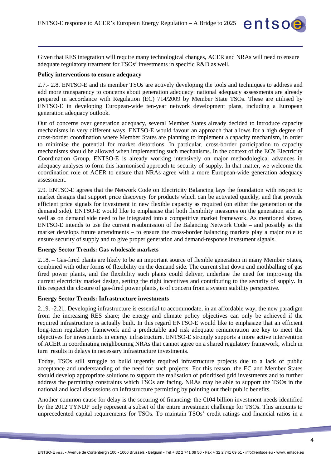Given that RES integration will require many technological changes, ACER and NRAs will need to ensure adequate regulatory treatment for TSOs' investments in specific R&D as well.

entsoe

#### **Policy interventions to ensure adequacy**

2.7.- 2.8. ENTSO-E and its member TSOs are actively developing the tools and techniques to address and add more transparency to concerns about generation adequacy: national adequacy assessments are already prepared in accordance with Regulation (EC) 714/2009 by Member State TSOs. These are utilised by ENTSO-E in developing European-wide ten-year network development plans, including a European generation adequacy outlook.

Out of concerns over generation adequacy, several Member States already decided to introduce capacity mechanisms in very different ways. ENTSO-E would favour an approach that allows for a high degree of cross-border coordination where Member States are planning to implement a capacity mechanism, in order to minimise the potential for market distortions. In particular, cross-border participation to capacity mechanisms should be allowed when implementing such mechanisms. In the context of the EC's Electricity Coordination Group, ENTSO-E is already working intensively on major methodological advances in adequacy analyses to form this harmonised approach to security of supply. In that matter, we welcome the coordination role of ACER to ensure that NRAs agree with a more European-wide generation adequacy assessment.

2.9. ENTSO-E agrees that the Network Code on Electricity Balancing lays the foundation with respect to market designs that support price discovery for products which can be activated quickly, and that provide efficient price signals for investment in new flexible capacity as required (on either the generation or the demand side). ENTSO-E would like to emphasise that both flexibility measures on the generation side as well as on demand side need to be integrated into a competitive market framework. As mentioned above, ENTSO-E intends to use the current resubmission of the Balancing Network Code – and possibly as the market develops future amendments – to ensure the cross-border balancing markets play a major role to ensure security of supply and to give proper generation and demand-response investment signals.

#### **Energy Sector Trends: Gas wholesale markets**

2.18. – Gas-fired plants are likely to be an important source of flexible generation in many Member States, combined with other forms of flexibility on the demand side. The current shut down and mothballing of gas fired power plants, and the flexibility such plants could deliver, underline the need for improving the current electricity market design, setting the right incentives and contributing to the security of supply. In this respect the closure of gas-fired power plants, is of concern from a system stability perspective.

#### **Energy Sector Trends: Infrastructure investments**

2.19. -2.21. Developing infrastructure is essential to accommodate, in an affordable way, the new paradigm from the increasing RES share; the energy and climate policy objectives can only be achieved if the required infrastructure is actually built. In this regard ENTSO-E would like to emphasize that an efficient long-term regulatory framework and a predictable and risk adequate remuneration are key to meet the objectives for investments in energy infrastructure. ENTSO-E strongly supports a more active intervention of ACER in coordinating neighbouring NRAs that cannot agree on a shared regulatory framework, which in turn results in delays in necessary infrastructure investments.

Today, TSOs still struggle to build urgently required infrastructure projects due to a lack of public acceptance and understanding of the need for such projects. For this reason, the EC and Member States should develop appropriate solutions to support the realisation of prioritised grid investments and to further address the permitting constraints which TSOs are facing. NRAs may be able to support the TSOs in the national and local discussions on infrastructure permitting by pointing out their public benefits.

Another common cause for delay is the securing of financing**:** the €104 billion investment needs identified by the 2012 TYNDP only represent a subset of the entire investment challenge for TSOs. This amounts to unprecedented capital requirements for TSOs. To maintain TSOs' credit ratings and financial ratios in a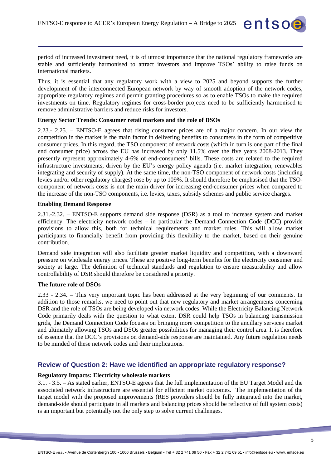

entsoe

Thus, it is essential that any regulatory work with a view to 2025 and beyond supports the further development of the interconnected European network by way of smooth adoption of the network codes, appropriate regulatory regimes and permit granting procedures so as to enable TSOs to make the required investments on time. Regulatory regimes for cross-border projects need to be sufficiently harmonised to remove administrative barriers and reduce risks for investors.

## **Energy Sector Trends: Consumer retail markets and the role of DSOs**

2.23.- 2.25. – ENTSO-E agrees that rising consumer prices are of a major concern. In our view the competition in the market is the main factor in delivering benefits to consumers in the form of competitive consumer prices. In this regard, the TSO component of network costs (which in turn is one part of the final end consumer price) across the EU has increased by only 11.5% over the five years 2008-2013. They presently represent approximately 4-6% of end-consumers' bills. These costs are related to the required infrastructure investments, driven by the EU's energy policy agenda (i.e. market integration, renewables integrating and security of supply). At the same time, the non-TSO component of network costs (including levies and/or other regulatory charges) rose by up to 109%. It should therefore be emphasised that the TSOcomponent of network costs is not the main driver for increasing end-consumer prices when compared to the increase of the non-TSO components, i.e. levies, taxes, subsidy schemes and public service charges.

#### **Enabling Demand Response**

2.31.-2.32. – ENTSO-E supports demand side response (DSR) as a tool to increase system and market efficiency. The electricity network codes – in particular the Demand Connection Code (DCC) provide provisions to allow this, both for technical requirements and market rules. This will allow market participants to financially benefit from providing this flexibility to the market, based on their genuine contribution.

Demand side integration will also facilitate greater market liquidity and competition, with a downward pressure on wholesale energy prices. These are positive long-term benefits for the electricity consumer and society at large. The definition of technical standards and regulation to ensure measurability and allow controllability of DSR should therefore be considered a priority.

### **The future role of DSOs**

2.33 - 2.34**. –** This very important topic has been addressed at the very beginning of our comments. In addition to those remarks, we need to point out that new regulatory and market arrangements concerning DSR and the role of TSOs are being developed via network codes. While the Electricity Balancing Network Code primarily deals with the question to what extent DSR could help TSOs in balancing transmission grids, the Demand Connection Code focuses on bringing more competition to the ancillary services market and ultimately allowing TSOs and DSOs greater possibilities for managing their control area. It is therefore of essence that the DCC's provisions on demand-side response are maintained. Any future regulation needs to be minded of these network codes and their implications.

# **Review of Question 2: Have we identified an appropriate regulatory response?**

#### **Regulatory Impacts: Electricity wholesale markets**

3.1. - 3.5. – As stated earlier, ENTSO-E agrees that the full implementation of the EU Target Model and the associated network infrastructure are essential for efficient market outcomes. The implementation of the target model with the proposed improvements (RES providers should be fully integrated into the market, demand-side should participate in all markets and balancing prices should be reflective of full system costs) is an important but potentially not the only step to solve current challenges.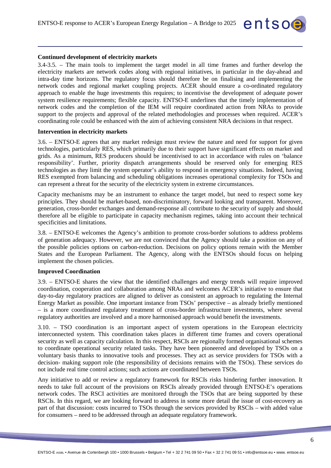#### **Continued development of electricity markets**

3.4-3.5. – The main tools to implement the target model in all time frames and further develop the electricity markets are network codes along with regional initiatives, in particular in the day-ahead and intra-day time horizons. The regulatory focus should therefore be on finalising and implementing the network codes and regional market coupling projects. ACER should ensure a co-ordinated regulatory approach to enable the huge investments this requires; to incentivise the development of adequate power system resilience requirements; flexible capacity. ENTSO-E underlines that the timely implementation of network codes and the completion of the IEM will require coordinated action from NRAs to provide support to the projects and approval of the related methodologies and processes when required. ACER's coordinating role could be enhanced with the aim of achieving consistent NRA decisions in that respect.

entsoe

### **Intervention in electricity markets**

3.6. – ENTSO-E agrees that any market redesign must review the nature and need for support for given technologies, particularly RES, which primarily due to their support have significant effects on market and grids. As a minimum, RES producers should be incentivised to act in accordance with rules on 'balance responsibility'. Further, priority dispatch arrangements should be reserved only for emerging RES technologies as they limit the system operator's ability to respond in emergency situations. Indeed, having RES exempted from balancing and scheduling obligations increases operational complexity for TSOs and can represent a threat for the security of the electricity system in extreme circumstances.

Capacity mechanisms may be an instrument to enhance the target model, but need to respect some key principles. They should be market-based, non-discriminatory, forward looking and transparent. Moreover, generation, cross-border exchanges and demand-response all contribute to the security of supply and should therefore all be eligible to participate in capacity mechanism regimes, taking into account their technical specificities and limitations.

3.8. – ENTSO-E welcomes the Agency's ambition to promote cross-border solutions to address problems of generation adequacy. However, we are not convinced that the Agency should take a position on any of the possible policies options on carbon-reduction. Decisions on policy options remain with the Member States and the European Parliament. The Agency, along with the ENTSOs should focus on helping implement the chosen policies.

## **Improved Coordination**

3.9. – ENTSO-E shares the view that the identified challenges and energy trends will require improved coordination, cooperation and collaboration among NRAs and welcomes ACER's initiative to ensure that day-to-day regulatory practices are aligned to deliver as consistent an approach to regulating the Internal Energy Market as possible. One important instance from TSOs' perspective – as already briefly mentioned – is a more coordinated regulatory treatment of cross-border infrastructure investments, where several regulatory authorities are involved and a more harmonised approach would benefit the investments.

3.10. – TSO coordination is an important aspect of system operations in the European electricity interconnected system. This coordination takes places in different time frames and covers operational security as well as capacity calculation. In this respect, RSCIs are regionally formed organisational schemes to coordinate operational security related tasks. They have been pioneered and developed by TSOs on a voluntary basis thanks to innovative tools and processes. They act as service providers for TSOs with a decision- making support role (the responsibility of decisions remains with the TSOs). These services do not include real time control actions; such actions are coordinated between TSOs.

Any initiative to add or review a regulatory framework for RSCIs risks hindering further innovation. It needs to take full account of the provisions on RSCIs already provided through ENTSO-E's operations network codes. The RSCI activities are monitored through the TSOs that are being supported by these RSCIs. In this regard, we are looking forward to address in some more detail the issue of cost-recovery as part of that discussion: costs incurred to TSOs through the services provided by RSCIs – with added value for consumers – need to be addressed through an adequate regulatory framework.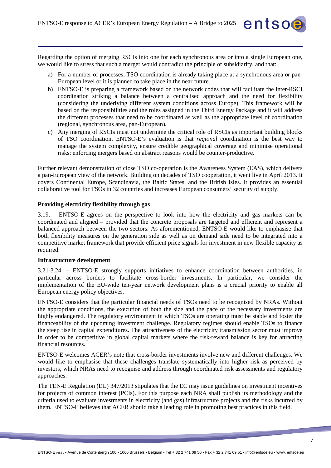Regarding the option of merging RSCIs into one for each synchronous area or into a single European one, we would like to stress that such a merger would contradict the principle of subsidiarity, and that:

- a) For a number of processes, TSO coordination is already taking place at a synchronous area or pan-European level or it is planned to take place in the near future.
- b) ENTSO-E is preparing a framework based on the network codes that will facilitate the inter-RSCI coordination striking a balance between a centralised approach and the need for flexibility (considering the underlying different system conditions across Europe). This framework will be based on the responsibilities and the roles assigned in the Third Energy Package and it will address the different processes that need to be coordinated as well as the appropriate level of coordination (regional, synchronous area, pan-European).
- c) Any merging of RSCIs must not undermine the critical role of RSCIs as important building blocks of TSO coordination. ENTSO-E's evaluation is that *regional* coordination is the best way to manage the system complexity, ensure credible geographical coverage and minimise operational risks; enforcing mergers based on abstract reasons would be counter-productive.

Further relevant demonstration of close TSO co-operation is the Awareness System (EAS), which delivers a pan-European view of the network. Building on decades of TSO cooperation, it went live in April 2013. It covers Continental Europe, Scandinavia, the Baltic States, and the British Isles. It provides an essential collaborative tool for TSOs in 32 countries and increases European consumers' security of supply.

## **Providing electricity flexibility through gas**

3.19. – ENTSO-E agrees on the perspective to look into how the electricity and gas markets can be coordinated and aligned – provided that the concrete proposals are targeted and efficient and represent a balanced approach between the two sectors. As aforementioned, ENTSO-E would like to emphasise that both flexibility measures on the generation side as well as on demand side need to be integrated into a competitive market framework that provide efficient price signals for investment in new flexible capacity as required.

#### **Infrastructure development**

3.21-3.24. **–** ENTSO-E strongly supports initiatives to enhance coordination between authorities, in particular across borders to facilitate cross-border investments. In particular, we consider the implementation of the EU-wide ten-year network development plans is a crucial priority to enable all European energy policy objectives.

ENTSO-E considers that the particular financial needs of TSOs need to be recognised by NRAs. Without the appropriate conditions, the execution of both the size and the pace of the necessary investments are highly endangered. The regulatory environment in which TSOs are operating must be stable and foster the financeability of the upcoming investment challenge. Regulatory regimes should enable TSOs to finance the steep rise in capital expenditures. The attractiveness of the electricity transmission sector must improve in order to be competitive in global capital markets where the risk-reward balance is key for attracting financial resources.

ENTSO-E welcomes ACER's note that cross-border investments involve new and different challenges. We would like to emphasise that these challenges translate systematically into higher risk as perceived by investors, which NRAs need to recognise and address through coordinated risk assessments and regulatory approaches.

The TEN-E Regulation (EU) 347/2013 stipulates that the EC may issue guidelines on investment incentives for projects of common interest (PCIs). For this purpose each NRA shall publish its methodology and the criteria used to evaluate investments in electricity (and gas) infrastructure projects and the risks incurred by them. ENTSO-E believes that ACER should take a leading role in promoting best practices in this field.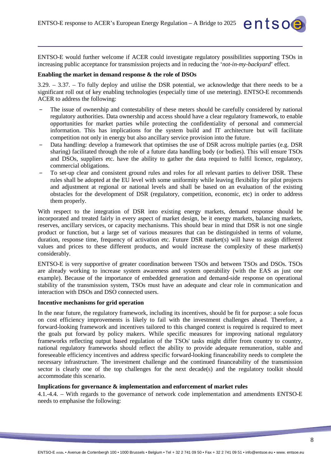ENTSO-E would further welcome if ACER could investigate regulatory possibilities supporting TSOs in increasing public acceptance for transmission projects and in reducing the '*not-in-my-backyard*' effect.

entsoe

#### **Enabling the market in demand response & the role of DSOs**

3.29. – 3.37. – To fully deploy and utilise the DSR potential, we acknowledge that there needs to be a significant roll out of key enabling technologies (especially time of use metering). ENTSO-E recommends ACER to address the following:

- ‒ The issue of ownership and contestability of these meters should be carefully considered by national regulatory authorities. Data ownership and access should have a clear regulatory framework, to enable opportunities for market parties while protecting the confidentiality of personal and commercial information. This has implications for the system build and IT architecture but will facilitate competition not only in energy but also ancillary service provision into the future.
- Data handling: develop a framework that optimises the use of DSR across multiple parties (e.g. DSR sharing) facilitated through the role of a future data handling body (or bodies). This will ensure TSOs and DSOs, suppliers etc. have the ability to gather the data required to fulfil licence, regulatory, commercial obligations.
- ‒ To set-up clear and consistent ground rules and roles for all relevant parties to deliver DSR. These rules shall be adopted at the EU level with some uniformity while leaving flexibility for pilot projects and adjustment at regional or national levels and shall be based on an evaluation of the existing obstacles for the development of DSR (regulatory, competition, economic, etc) in order to address them properly.

With respect to the integration of DSR into existing energy markets, demand response should be incorporated and treated fairly in every aspect of market design, be it energy markets, balancing markets, reserves, ancillary services, or capacity mechanisms. This should bear in mind that DSR is not one single product or function, but a large set of various measures that can be distinguished in terms of volume, duration, response time, frequency of activation etc. Future DSR market(s) will have to assign different values and prices to these different products, and would increase the complexity of these market(s) considerably.

ENTSO-E is very supportive of greater coordination between TSOs and between TSOs and DSOs. TSOs are already working to increase system awareness and system operability (with the EAS as just one example). Because of the importance of embedded generation and demand-side response on operational stability of the transmission system, TSOs must have an adequate and clear role in communication and interaction with DSOs and DSO connected users.

#### **Incentive mechanisms for grid operation**

In the near future, the regulatory framework, including its incentives, should be fit for purpose: a sole focus on cost efficiency improvements is likely to fail with the investment challenges ahead. Therefore, a forward-looking framework and incentives tailored to this changed context is required is required to meet the goals put forward by policy makers. While specific measures for improving national regulatory frameworks reflecting output based regulation of the TSOs' tasks might differ from country to country, national regulatory frameworks should reflect the ability to provide adequate remuneration, stable and foreseeable efficiency incentives and address specific forward-looking financeability needs to complete the necessary infrastructure. The investment challenge and the continued financeability of the transmission sector is clearly one of the top challenges for the next decade(s) and the regulatory toolkit should accommodate this scenario.

#### **Implications for governance & implementation and enforcement of market rules**

4.1.-4.4. – With regards to the governance of network code implementation and amendments ENTSO-E needs to emphasise the following: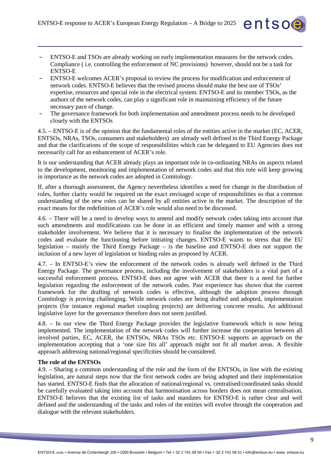‒ ENTSO-E and TSOs are already working on early implementation measures for the network codes. Compliance ( i.e. controlling the enforcement of NC provisions) however, should not be a task for ENTSO-E

entsoe

- ‒ ENTSO-E welcomes ACER's proposal to review the process for modification and enforcement of network codes. ENTSO-E believes that the revised process should make the best use of TSOs' expertise, resources and special role in the electrical system. ENTSO-E and its member TSOs, as the authors of the network codes, can play a significant role in maintaining efficiency of the future necessary pace of change.
- ‒ The governance framework for both implementation and amendment process needs to be developed closely with the ENTSOs

4.5. – ENTSO-E is of the opinion that the fundamental roles of the entities active in the market (EC, ACER, ENTSOs, NRAs, TSOs, consumers and stakeholders) are already well defined in the Third Energy Package and that the clarifications of the scope of responsibilities which can be delegated to EU Agencies does not necessarily call for an enhancement of ACER's role.

It is our understanding that ACER already plays an important role in co-ordinating NRAs on aspects related to the development, monitoring and implementation of network codes and that this role will keep growing in importance as the network codes are adopted in Comitology.

If, after a thorough assessment, the Agency nevertheless identifies a need for change in the distribution of roles, further clarity would be required on the exact envisaged scope of responsibilities so that a common understanding of the new roles can be shared by all entities active in the market. The description of the exact means for the redefinition of ACER's role would also need to be discussed.

4.6. – There will be a need to develop ways to amend and modify network codes taking into account that such amendments and modifications can be done in an efficient and timely manner and with a strong stakeholder involvement. We believe that it is necessary to finalise the implementation of the network codes and evaluate the functioning before initiating changes. ENTSO-E wants to stress that the EU legislation – mainly the Third Energy Package – is the baseline and ENTSO-E does not support the inclusion of a new layer of legislation or binding rules as proposed by ACER.

4.7. – In ENTSO-E's view the enforcement of the network codes is already well defined in the Third Energy Package. The governance process, including the involvement of stakeholders is a vital part of a successful enforcement process. ENTSO-E does not agree with ACER that there is a need for further legislation regarding the enforcement of the network codes. Past experience has shown that the current framework for the drafting of network codes is effective, although the adoption process through Comitology is proving challenging. While network codes are being drafted and adopted, implementation projects (for instance regional market coupling projects) are delivering concrete results. An additional legislative layer for the governance therefore does not seem justified.

4.8. – In our view the Third Energy Package provides the legislative framework which is now being implemented. The implementation of the network codes will further increase the cooperation between all involved parties, EC, ACER, the ENTSOs, NRAs TSOs etc. ENTSO-E supports an approach on the implementation accepting that a 'one size fits all' approach might not fit all market areas. A flexible approach addressing national/regional specificities should be considered.

## **The role of the ENTSOs**

4.9. – Sharing a common understanding of the role and the form of the ENTSOs, in line with the existing legislation, are natural steps now that the first network codes are being adopted and their implementation has started. ENTSO-E finds that the allocation of national/regional vs. centralised/coordinated tasks should be carefully evaluated taking into account that harmonisation across borders does not mean centralisation. ENTSO-E believes that the existing list of tasks and mandates for ENTSO-E is rather clear and well defined and the understanding of the tasks and roles of the entities will evolve through the cooperation and dialogue with the relevant stakeholders.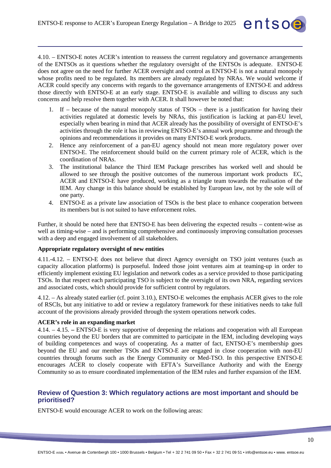4.10. – ENTSO-E notes ACER's intention to reassess the current regulatory and governance arrangements of the ENTSOs as it questions whether the regulatory oversight of the ENTSOs is adequate. ENTSO-E does not agree on the need for further ACER oversight and control as ENTSO-E is not a natural monopoly whose profits need to be regulated. Its members are already regulated by NRAs. We would welcome if ACER could specify any concerns with regards to the governance arrangements of ENTSO-E and address those directly with ENTSO-E at an early stage. ENTSO-E is available and willing to discuss any such concerns and help resolve them together with ACER. It shall however be noted that:

- 1. If because of the natural monopoly status of TSOs there is a justification for having their activities regulated at domestic levels by NRAs, this justification is lacking at pan-EU level, especially when bearing in mind that ACER already has the possibility of oversight of ENTSO-E's activities through the role it has in reviewing ENTSO-E's annual work programme and through the opinions and recommendations it provides on many ENTSO-E work products.
- 2. Hence any reinforcement of a pan-EU agency should not mean more regulatory power over ENTSO-E. The reinforcement should build on the current primary role of ACER, which is the coordination of NRAs.
- 3. The institutional balance the Third IEM Package prescribes has worked well and should be allowed to see through the positive outcomes of the numerous important work products EC, ACER and ENTSO-E have produced, working as a triangle team towards the realisation of the IEM. Any change in this balance should be established by European law, not by the sole will of one party.
- 4. ENTSO-E as a private law association of TSOs is the best place to enhance cooperation between its members but is not suited to have enforcement roles.

Further, it should be noted here that ENTSO-E has been delivering the expected results – content-wise as well as timing-wise – and is performing comprehensive and continuously improving consultation processes with a deep and engaged involvement of all stakeholders.

# **Appropriate regulatory oversight of new entities**

4.11.-4.12. – ENTSO-E does not believe that direct Agency oversight on TSO joint ventures (such as capacity allocation platforms) is purposeful. Indeed those joint ventures aim at teaming-up in order to efficiently implement existing EU legislation and network codes as a service provided to those participating TSOs. In that respect each participating TSO is subject to the oversight of its own NRA, regarding services and associated costs, which should provide for sufficient control by regulators.

4.12. – As already stated earlier (cf. point 3.10.), ENTSO-E welcomes the emphasis ACER gives to the role of RSCIs, but any initiative to add or review a regulatory framework for these initiatives needs to take full account of the provisions already provided through the system operations network codes.

## **ACER's role in an expanding market**

4.14. – 4.15. **–** ENTSO-E is very supportive of deepening the relations and cooperation with all European countries beyond the EU borders that are committed to participate in the IEM, including developing ways of building competences and ways of cooperating. As a matter of fact, ENTSO-E's membership goes beyond the EU and our member TSOs and ENTSO-E are engaged in close cooperation with non-EU countries through forums such as the Energy Community or Med-TSO. In this perspective ENTSO-E encourages ACER to closely cooperate with EFTA's Surveillance Authority and with the Energy Community so as to ensure coordinated implementation of the IEM rules and further expansion of the IEM.

# **Review of Question 3: Which regulatory actions are most important and should be prioritised?**

ENTSO-E would encourage ACER to work on the following areas: